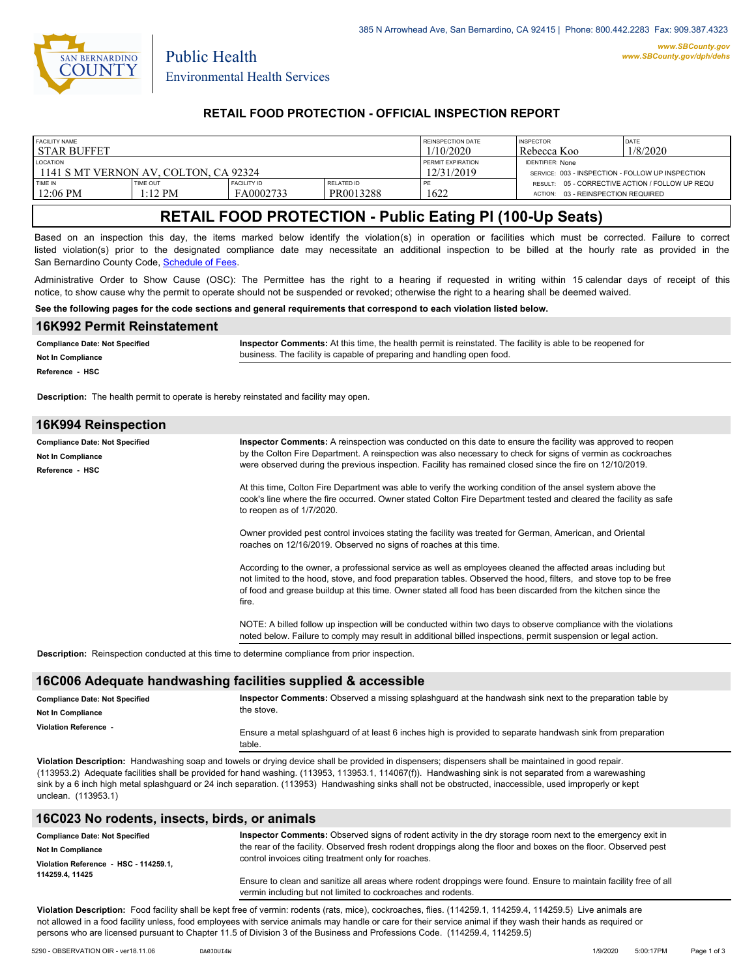

Public Health

#### **RETAIL FOOD PROTECTION - OFFICIAL INSPECTION REPORT**

| <b>FACILITY NAME</b><br>I STAR BUFFET                    |                               |                                 |                                        | REINSPECTION DATE<br>1/10/2020                                              | <b>INSPECTOR</b><br>Rebecca Koo                                                          | <b>DATE</b><br>1/8/2020 |
|----------------------------------------------------------|-------------------------------|---------------------------------|----------------------------------------|-----------------------------------------------------------------------------|------------------------------------------------------------------------------------------|-------------------------|
| <b>LOCATION</b><br>1141 S MT VERNON AV. COLTON. CA 92324 |                               |                                 | <b>PERMIT EXPIRATION</b><br>12/31/2019 | <b>IDENTIFIER: None</b><br>SERVICE: 003 - INSPECTION - FOLLOW UP INSPECTION |                                                                                          |                         |
| TIME IN<br>12:06 PM                                      | TIME OUT<br>$1:12 \text{ PM}$ | <b>FACILITY ID</b><br>FA0002733 | RELATED ID<br>PR0013288                | 1622                                                                        | RESULT: 05 - CORRECTIVE ACTION / FOLLOW UP REQU<br>03 - REINSPECTION REQUIRED<br>ACTION: |                         |

# **RETAIL FOOD PROTECTION - Public Eating Pl (100-Up Seats)**

Based on an inspection this day, the items marked below identify the violation(s) in operation or facilities which must be corrected. Failure to correct listed violation(s) prior to the designated compliance date may necessitate an additional inspection to be billed at the hourly rate as provided in the San Bernardino County Code, Schedule of Fees

Administrative Order to Show Cause (OSC): The Permittee has the right to a hearing if requested in writing within 15 calendar days of receipt of this notice, to show cause why the permit to operate should not be suspended or revoked; otherwise the right to a hearing shall be deemed waived.

#### **See the following pages for the code sections and general requirements that correspond to each violation listed below.**

| 16K992 Permit Reinstatement           |                                                                                                            |
|---------------------------------------|------------------------------------------------------------------------------------------------------------|
| <b>Compliance Date: Not Specified</b> | Inspector Comments: At this time, the health permit is reinstated. The facility is able to be reopened for |
| <b>Not In Compliance</b>              | business. The facility is capable of preparing and handling open food.                                     |
| Reference - HSC                       |                                                                                                            |

**Description:** The health permit to operate is hereby reinstated and facility may open.

| 16K994 Reinspection                                                           |                                                                                                                                                                                                                                                                                                                                                                                                                                                                                                                                                                                                                                                                                                                                                                                             |
|-------------------------------------------------------------------------------|---------------------------------------------------------------------------------------------------------------------------------------------------------------------------------------------------------------------------------------------------------------------------------------------------------------------------------------------------------------------------------------------------------------------------------------------------------------------------------------------------------------------------------------------------------------------------------------------------------------------------------------------------------------------------------------------------------------------------------------------------------------------------------------------|
| <b>Compliance Date: Not Specified</b><br>Not In Compliance<br>Reference - HSC | Inspector Comments: A reinspection was conducted on this date to ensure the facility was approved to reopen<br>by the Colton Fire Department. A reinspection was also necessary to check for signs of vermin as cockroaches<br>were observed during the previous inspection. Facility has remained closed since the fire on 12/10/2019.<br>At this time, Colton Fire Department was able to verify the working condition of the ansel system above the<br>cook's line where the fire occurred. Owner stated Colton Fire Department tested and cleared the facility as safe<br>to reopen as of $1/7/2020$ .<br>Owner provided pest control invoices stating the facility was treated for German, American, and Oriental<br>roaches on 12/16/2019. Observed no signs of roaches at this time. |
|                                                                               | According to the owner, a professional service as well as employees cleaned the affected areas including but<br>not limited to the hood, stove, and food preparation tables. Observed the hood, filters, and stove top to be free<br>of food and grease buildup at this time. Owner stated all food has been discarded from the kitchen since the<br>fire.<br>NOTE: A billed follow up inspection will be conducted within two days to observe compliance with the violations<br>noted below. Failure to comply may result in additional billed inspections, permit suspension or legal action.                                                                                                                                                                                             |

**Description:** Reinspection conducted at this time to determine compliance from prior inspection.

#### **16C006 Adequate handwashing facilities supplied & accessible**

| <b>Compliance Date: Not Specified</b> | Inspector Comments: Observed a missing splash quard at the handwash sink next to the preparation table by              |
|---------------------------------------|------------------------------------------------------------------------------------------------------------------------|
| <b>Not In Compliance</b>              | the stove.                                                                                                             |
| Violation Reference -                 | Ensure a metal splash quard of at least 6 inches high is provided to separate handwash sink from preparation<br>table. |

**Violation Description:** Handwashing soap and towels or drying device shall be provided in dispensers; dispensers shall be maintained in good repair. (113953.2) Adequate facilities shall be provided for hand washing. (113953, 113953.1, 114067(f)). Handwashing sink is not separated from a warewashing sink by a 6 inch high metal splashguard or 24 inch separation. (113953) Handwashing sinks shall not be obstructed, inaccessible, used improperly or kept unclean. (113953.1)

#### **16C023 No rodents, insects, birds, or animals**

| <b>Compliance Date: Not Specified</b> | Inspector Comments: Observed signs of rodent activity in the dry storage room next to the emergency exit in<br>the rear of the facility. Observed fresh rodent droppings along the floor and boxes on the floor. Observed pest |  |
|---------------------------------------|--------------------------------------------------------------------------------------------------------------------------------------------------------------------------------------------------------------------------------|--|
| <b>Not In Compliance</b>              |                                                                                                                                                                                                                                |  |
| Violation Reference - HSC - 114259.1. | control invoices citing treatment only for roaches.                                                                                                                                                                            |  |
| 114259.4.11425                        | Ensure to clean and sanitize all areas where rodent droppings were found. Ensure to maintain facility free of all<br>vermin including but not limited to cockroaches and rodents.                                              |  |

**Violation Description:** Food facility shall be kept free of vermin: rodents (rats, mice), cockroaches, flies. (114259.1, 114259.4, 114259.5) Live animals are not allowed in a food facility unless, food employees with service animals may handle or care for their service animal if they wash their hands as required or persons who are licensed pursuant to Chapter 11.5 of Division 3 of the Business and Professions Code. (114259.4, 114259.5)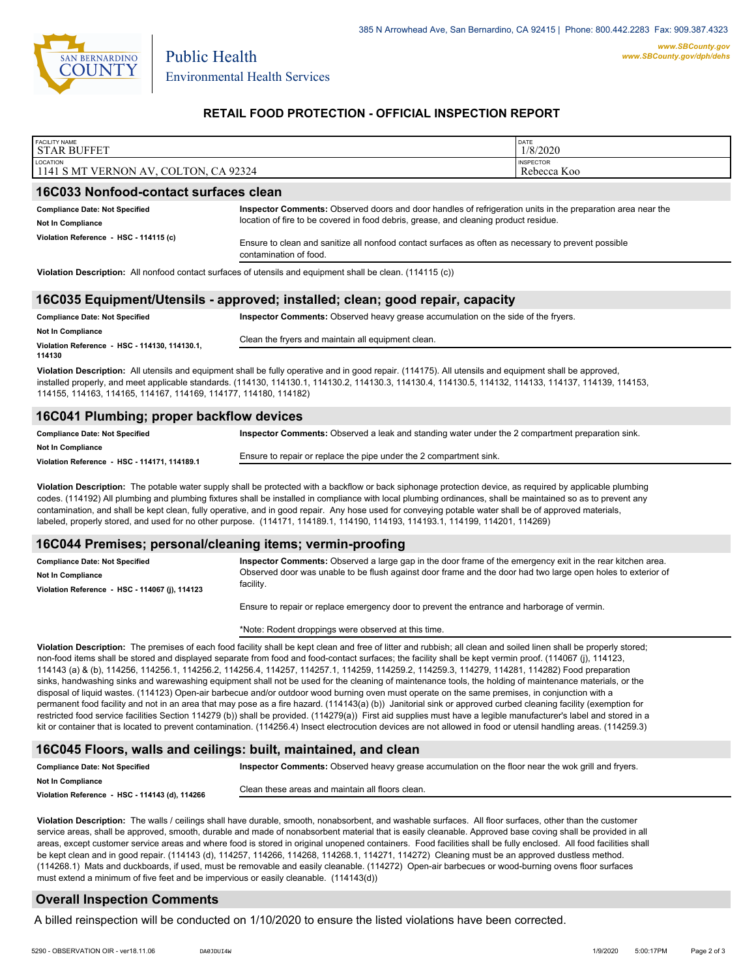

Public Health

## **RETAIL FOOD PROTECTION - OFFICIAL INSPECTION REPORT**

| <b>FACILITY NAME</b><br><b>STAR BUFFET</b>                                                                 |                                                                                                                                                                                                     | DATE<br>1/8/2020                |  |
|------------------------------------------------------------------------------------------------------------|-----------------------------------------------------------------------------------------------------------------------------------------------------------------------------------------------------|---------------------------------|--|
| LOCATION<br>1141 S MT VERNON AV, COLTON, CA 92324                                                          |                                                                                                                                                                                                     | <b>INSPECTOR</b><br>Rebecca Koo |  |
| 16C033 Nonfood-contact surfaces clean                                                                      |                                                                                                                                                                                                     |                                 |  |
| <b>Compliance Date: Not Specified</b><br><b>Not In Compliance</b>                                          | Inspector Comments: Observed doors and door handles of refrigeration units in the preparation area near the<br>location of fire to be covered in food debris, grease, and cleaning product residue. |                                 |  |
| Violation Reference - HSC - 114115 (c)                                                                     | Ensure to clean and sanitize all nonfood contact surfaces as often as necessary to prevent possible<br>contamination of food.                                                                       |                                 |  |
| Violation Description: All nonfood contact surfaces of utensils and equipment shall be clean. (114115 (c)) |                                                                                                                                                                                                     |                                 |  |

#### **16C035 Equipment/Utensils - approved; installed; clean; good repair, capacity**

| <b>Compliance Date: Not Specified</b>                                                                                                               | <b>Inspector Comments:</b> Observed heavy grease accumulation on the side of the fryers. |  |
|-----------------------------------------------------------------------------------------------------------------------------------------------------|------------------------------------------------------------------------------------------|--|
| <b>Not In Compliance</b>                                                                                                                            | Clean the fryers and maintain all equipment clean.                                       |  |
| Violation Reference - HSC - 114130, 114130.1.                                                                                                       |                                                                                          |  |
| 114130                                                                                                                                              |                                                                                          |  |
| Violation Description: All utensils and equipment shall be fully operative and in good repair (114175) All utensils and equipment shall be approved |                                                                                          |  |

**Violation Description:** All utensils and equipment shall be fully operative and in good repair. (114175). All utensils and equipment shall be approved, installed properly, and meet applicable standards. (114130, 114130.1, 114130.2, 114130.3, 114130.4, 114130.5, 114132, 114133, 114137, 114139, 114153, 114155, 114163, 114165, 114167, 114169, 114177, 114180, 114182)

#### **16C041 Plumbing; proper backflow devices**

| <b>Compliance Date: Not Specified</b>        | Inspector Comments: Observed a leak and standing water under the 2 compartment preparation sink. |
|----------------------------------------------|--------------------------------------------------------------------------------------------------|
| Not In Compliance                            |                                                                                                  |
| Violation Reference - HSC - 114171, 114189.1 | Ensure to repair or replace the pipe under the 2 compartment sink.                               |

**Violation Description:** The potable water supply shall be protected with a backflow or back siphonage protection device, as required by applicable plumbing codes. (114192) All plumbing and plumbing fixtures shall be installed in compliance with local plumbing ordinances, shall be maintained so as to prevent any contamination, and shall be kept clean, fully operative, and in good repair. Any hose used for conveying potable water shall be of approved materials, labeled, properly stored, and used for no other purpose. (114171, 114189.1, 114190, 114193, 114193.1, 114199, 114201, 114269)

#### **16C044 Premises; personal/cleaning items; vermin-proofing**

| <b>Compliance Date: Not Specified</b>          | Inspector Comments: Observed a large gap in the door frame of the emergency exit in the rear kitchen area.   |
|------------------------------------------------|--------------------------------------------------------------------------------------------------------------|
| <b>Not In Compliance</b>                       | Observed door was unable to be flush against door frame and the door had two large open holes to exterior of |
| Violation Reference - HSC - 114067 (j), 114123 | facility.                                                                                                    |

Ensure to repair or replace emergency door to prevent the entrance and harborage of vermin.

\*Note: Rodent droppings were observed at this time.

**Violation Description:** The premises of each food facility shall be kept clean and free of litter and rubbish; all clean and soiled linen shall be properly stored; non-food items shall be stored and displayed separate from food and food-contact surfaces; the facility shall be kept vermin proof. (114067 (j), 114123, 114143 (a) & (b), 114256, 114256.1, 114256.2, 114256.4, 114257, 114257.1, 114259, 114259.2, 114259.3, 114279, 114281, 114282) Food preparation sinks, handwashing sinks and warewashing equipment shall not be used for the cleaning of maintenance tools, the holding of maintenance materials, or the disposal of liquid wastes. (114123) Open-air barbecue and/or outdoor wood burning oven must operate on the same premises, in conjunction with a permanent food facility and not in an area that may pose as a fire hazard. (114143(a) (b)) Janitorial sink or approved curbed cleaning facility (exemption for restricted food service facilities Section 114279 (b)) shall be provided. (114279(a)) First aid supplies must have a legible manufacturer's label and stored in a kit or container that is located to prevent contamination. (114256.4) Insect electrocution devices are not allowed in food or utensil handling areas. (114259.3)

#### **16C045 Floors, walls and ceilings: built, maintained, and clean**

| <b>Compliance Date: Not Specified</b>          | Inspector Comments: Observed heavy grease accumulation on the floor near the wok grill and fryers. |
|------------------------------------------------|----------------------------------------------------------------------------------------------------|
| <b>Not In Compliance</b>                       |                                                                                                    |
| Violation Reference - HSC - 114143 (d), 114266 | Clean these areas and maintain all floors clean.                                                   |

**Violation Description:** The walls / ceilings shall have durable, smooth, nonabsorbent, and washable surfaces. All floor surfaces, other than the customer service areas, shall be approved, smooth, durable and made of nonabsorbent material that is easily cleanable. Approved base coving shall be provided in all areas, except customer service areas and where food is stored in original unopened containers. Food facilities shall be fully enclosed. All food facilities shall be kept clean and in good repair. (114143 (d), 114257, 114266, 114268, 114268.1, 114271, 114272) Cleaning must be an approved dustless method. (114268.1) Mats and duckboards, if used, must be removable and easily cleanable. (114272) Open-air barbecues or wood-burning ovens floor surfaces must extend a minimum of five feet and be impervious or easily cleanable. (114143(d))

## **Overall Inspection Comments**

A billed reinspection will be conducted on 1/10/2020 to ensure the listed violations have been corrected.